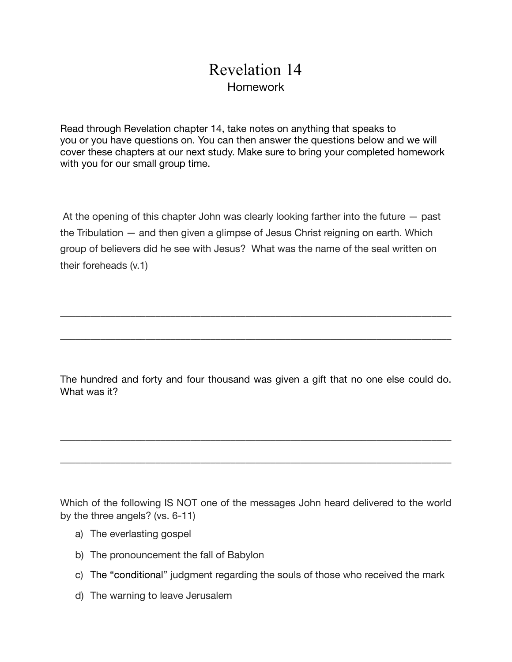## Revelation 14 Homework

Read through Revelation chapter 14, take notes on anything that speaks to you or you have questions on. You can then answer the questions below and we will cover these chapters at our next study. Make sure to bring your completed homework with you for our small group time.

 At the opening of this chapter John was clearly looking farther into the future — past the Tribulation — and then given a glimpse of Jesus Christ reigning on earth. Which group of believers did he see with Jesus? What was the name of the seal written on their foreheads (v.1)

The hundred and forty and four thousand was given a gift that no one else could do. What was it?

\_\_\_\_\_\_\_\_\_\_\_\_\_\_\_\_\_\_\_\_\_\_\_\_\_\_\_\_\_\_\_\_\_\_\_\_\_\_\_\_\_\_\_\_\_\_\_\_\_\_\_\_\_\_\_\_\_\_\_\_\_\_\_\_\_\_\_\_\_\_\_\_\_\_\_\_\_\_

\_\_\_\_\_\_\_\_\_\_\_\_\_\_\_\_\_\_\_\_\_\_\_\_\_\_\_\_\_\_\_\_\_\_\_\_\_\_\_\_\_\_\_\_\_\_\_\_\_\_\_\_\_\_\_\_\_\_\_\_\_\_\_\_\_\_\_\_\_\_\_\_\_\_\_\_\_\_

\_\_\_\_\_\_\_\_\_\_\_\_\_\_\_\_\_\_\_\_\_\_\_\_\_\_\_\_\_\_\_\_\_\_\_\_\_\_\_\_\_\_\_\_\_\_\_\_\_\_\_\_\_\_\_\_\_\_\_\_\_\_\_\_\_\_\_\_\_\_\_\_\_\_\_\_\_\_

\_\_\_\_\_\_\_\_\_\_\_\_\_\_\_\_\_\_\_\_\_\_\_\_\_\_\_\_\_\_\_\_\_\_\_\_\_\_\_\_\_\_\_\_\_\_\_\_\_\_\_\_\_\_\_\_\_\_\_\_\_\_\_\_\_\_\_\_\_\_\_\_\_\_\_\_\_\_

Which of the following IS NOT one of the messages John heard delivered to the world by the three angels? (vs. 6-11)

- a) The everlasting gospel
- b) The pronouncement the fall of Babylon
- c) The "conditional" judgment regarding the souls of those who received the mark
- d) The warning to leave Jerusalem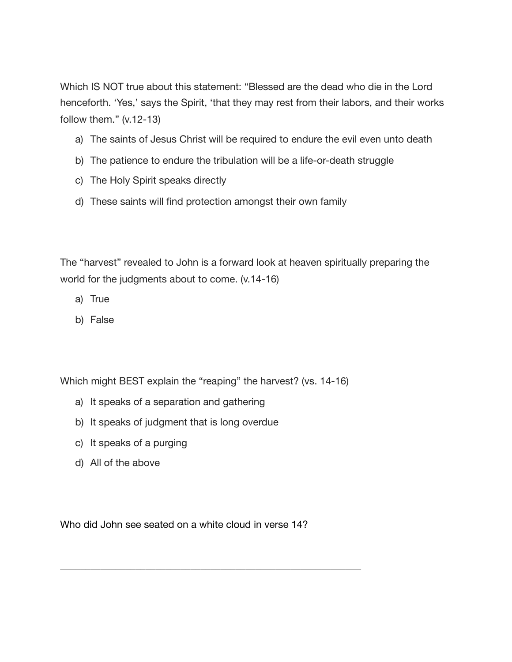Which IS NOT true about this statement: "Blessed are the dead who die in the Lord henceforth. 'Yes,' says the Spirit, 'that they may rest from their labors, and their works follow them." (v.12-13)

- a) The saints of Jesus Christ will be required to endure the evil even unto death
- b) The patience to endure the tribulation will be a life-or-death struggle
- c) The Holy Spirit speaks directly
- d) These saints will find protection amongst their own family

The "harvest" revealed to John is a forward look at heaven spiritually preparing the world for the judgments about to come. (v.14-16)

- a) True
- b) False

Which might BEST explain the "reaping" the harvest? (vs. 14-16)

- a) It speaks of a separation and gathering
- b) It speaks of judgment that is long overdue
- c) It speaks of a purging
- d) All of the above

Who did John see seated on a white cloud in verse 14?

\_\_\_\_\_\_\_\_\_\_\_\_\_\_\_\_\_\_\_\_\_\_\_\_\_\_\_\_\_\_\_\_\_\_\_\_\_\_\_\_\_\_\_\_\_\_\_\_\_\_\_\_\_\_\_\_\_\_\_\_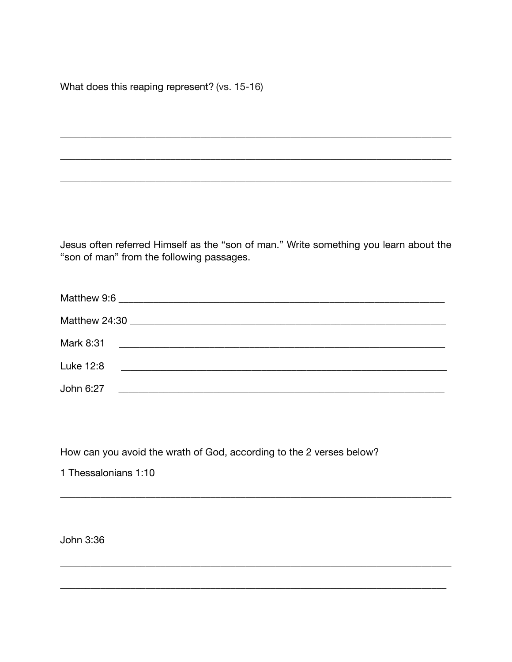What does this reaping represent? (vs. 15-16)

Jesus often referred Himself as the "son of man." Write something you learn about the "son of man" from the following passages.

| Luke 12:8 | <u> 1980 - Jan James James Barbara, martin d</u> |  |
|-----------|--------------------------------------------------|--|
| John 6:27 |                                                  |  |

How can you avoid the wrath of God, according to the 2 verses below?

1 Thessalonians 1:10

John 3:36